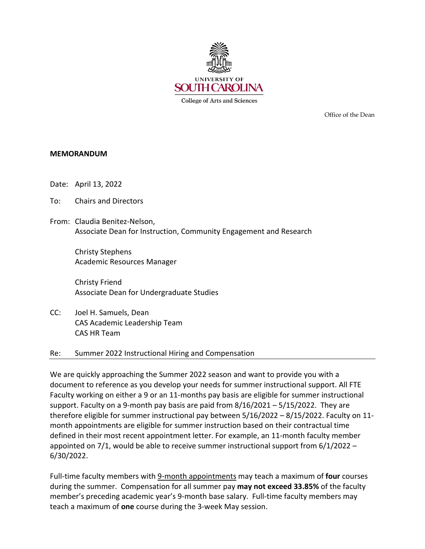

**College of Arts and Sciences** 

Office of the Dean

### **MEMORANDUM**

- Date: April 13, 2022
- To: Chairs and Directors
- From: Claudia Benitez-Nelson, Associate Dean for Instruction, Community Engagement and Research

Christy Stephens Academic Resources Manager

Christy Friend Associate Dean for Undergraduate Studies

CC: Joel H. Samuels, Dean CAS Academic Leadership Team CAS HR Team

### Re: Summer 2022 Instructional Hiring and Compensation

We are quickly approaching the Summer 2022 season and want to provide you with a document to reference as you develop your needs for summer instructional support. All FTE Faculty working on either a 9 or an 11-months pay basis are eligible for summer instructional support. Faculty on a 9-month pay basis are paid from  $8/16/2021 - 5/15/2022$ . They are therefore eligible for summer instructional pay between 5/16/2022 – 8/15/2022. Faculty on 11 month appointments are eligible for summer instruction based on their contractual time defined in their most recent appointment letter. For example, an 11-month faculty member appointed on 7/1, would be able to receive summer instructional support from 6/1/2022 – 6/30/2022.

Full-time faculty members with 9-month appointments may teach a maximum of **four** courses during the summer. Compensation for all summer pay **may not exceed 33.85%** of the faculty member's preceding academic year's 9-month base salary. Full-time faculty members may teach a maximum of **one** course during the 3-week May session.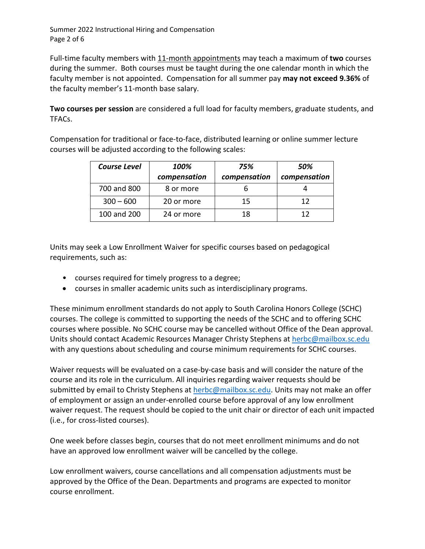Summer 2022 Instructional Hiring and Compensation Page 2 of 6

Full-time faculty members with 11-month appointments may teach a maximum of **two** courses during the summer. Both courses must be taught during the one calendar month in which the faculty member is not appointed. Compensation for all summer pay **may not exceed 9.36%** of the faculty member's 11-month base salary.

**Two courses per session** are considered a full load for faculty members, graduate students, and TFACs.

Compensation for traditional or face-to-face, distributed learning or online summer lecture courses will be adjusted according to the following scales:

| <b>Course Level</b> | 100%         | 75%          | 50%          |
|---------------------|--------------|--------------|--------------|
|                     | compensation | compensation | compensation |
| 700 and 800         | 8 or more    |              |              |
| $300 - 600$         | 20 or more   | 15           | 12           |
| 100 and 200         | 24 or more   | 18           | 12           |

Units may seek a Low Enrollment Waiver for specific courses based on pedagogical requirements, such as:

- courses required for timely progress to a degree;
- courses in smaller academic units such as interdisciplinary programs.

These minimum enrollment standards do not apply to South Carolina Honors College (SCHC) courses. The college is committed to supporting the needs of the SCHC and to offering SCHC courses where possible. No SCHC course may be cancelled without Office of the Dean approval. Units should contact Academic Resources Manager Christy Stephens at [herbc@mailbox.sc.edu](mailto:herbc@mailbox.sc.edu) with any questions about scheduling and course minimum requirements for SCHC courses.

Waiver requests will be evaluated on a case-by-case basis and will consider the nature of the course and its role in the curriculum. All inquiries regarding waiver requests should be submitted by email to Christy Stephens at [herbc@mailbox.sc.edu.](mailto:herbc@mailbox.sc.edu) Units may not make an offer of employment or assign an under-enrolled course before approval of any low enrollment waiver request. The request should be copied to the unit chair or director of each unit impacted (i.e., for cross-listed courses).

One week before classes begin, courses that do not meet enrollment minimums and do not have an approved low enrollment waiver will be cancelled by the college.

Low enrollment waivers, course cancellations and all compensation adjustments must be approved by the Office of the Dean. Departments and programs are expected to monitor course enrollment.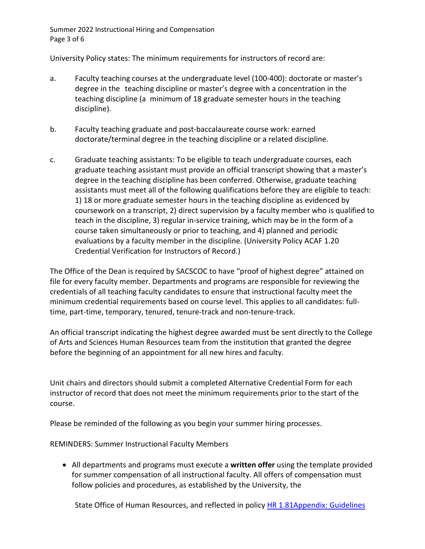Summer 2022 Instructional Hiring and Compensation Page 3 of 6

University Policy states: The minimum requirements for instructors of record are:

- a. Faculty teaching courses at the undergraduate level (100-400): doctorate or master's degree in the teaching discipline or master's degree with a concentration in the teaching discipline (a minimum of 18 graduate semester hours in the teaching discipline).
- b. Faculty teaching graduate and post-baccalaureate course work: earned doctorate/terminal degree in the teaching discipline or a related discipline.
- c. Graduate teaching assistants: To be eligible to teach undergraduate courses, each graduate teaching assistant must provide an official transcript showing that a master's degree in the teaching discipline has been conferred. Otherwise, graduate teaching assistants must meet all of the following qualifications before they are eligible to teach: 1) 18 or more graduate semester hours in the teaching discipline as evidenced by coursework on a transcript, 2) direct supervision by a faculty member who is qualified to teach in the discipline, 3) regular in-service training, which may be in the form of a course taken simultaneously or prior to teaching, and 4) planned and periodic evaluations by a faculty member in the discipline. (University Policy ACAF 1.20 Credential Verification for Instructors of Record.)

The Office of the Dean is required by SACSCOC to have "proof of highest degree" attained on file for every faculty member. Departments and programs are responsible for reviewing the credentials of all teaching faculty candidates to ensure that instructional faculty meet the minimum credential requirements based on course level. This applies to all candidates: fulltime, part-time, temporary, tenured, tenure-track and non-tenure-track.

An official transcript indicating the highest degree awarded must be sent directly to the College of Arts and Sciences Human Resources team from the institution that granted the degree before the beginning of an appointment for all new hires and faculty.

Unit chairs and directors should submit a completed Alternative Credential Form for each instructor of record that does not meet the minimum requirements prior to the start of the course.

Please be reminded of the following as you begin your summer hiring processes.

REMINDERS: Summer Instructional Faculty Members

• All departments and programs must execute a **written offer** using the template provided for summer compensation of all instructional faculty. All offers of compensation must follow policies and procedures, as established by the University, the

State Office of Human Resources, and reflected in policy HR 1.81Appendix: Guidelines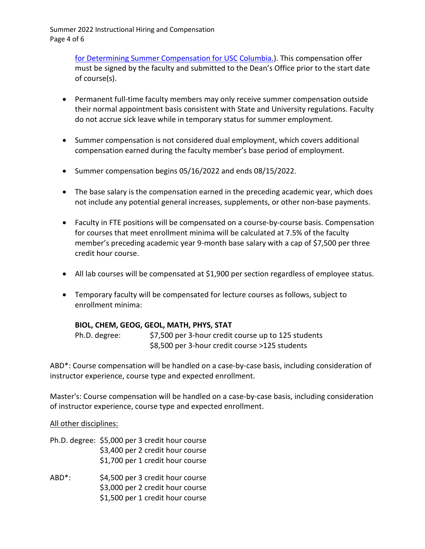Summer 2022 Instructional Hiring and Compensation Page 4 of 6

> [for Determining Summer Compensation for USC](http://www.sc.edu/policies/ppm/hr181.pdf) [Columbia.\)](http://www.sc.edu/policies/ppm/hr181.pdf). This compensation offer must be signed by the faculty and submitted to the Dean's Office prior to the start date of course(s).

- Permanent full-time faculty members may only receive summer compensation outside their normal appointment basis consistent with State and University regulations. Faculty do not accrue sick leave while in temporary status for summer employment.
- Summer compensation is not considered dual employment, which covers additional compensation earned during the faculty member's base period of employment.
- Summer compensation begins 05/16/2022 and ends 08/15/2022.
- The base salary is the compensation earned in the preceding academic year, which does not include any potential general increases, supplements, or other non-base payments.
- Faculty in FTE positions will be compensated on a course-by-course basis. Compensation for courses that meet enrollment minima will be calculated at 7.5% of the faculty member's preceding academic year 9-month base salary with a cap of \$7,500 per three credit hour course.
- All lab courses will be compensated at \$1,900 per section regardless of employee status.
- Temporary faculty will be compensated for lecture courses as follows, subject to enrollment minima:

## **BIOL, CHEM, GEOG, GEOL, MATH, PHYS, STAT**

Ph.D. degree: \$7,500 per 3-hour credit course up to 125 students \$8,500 per 3-hour credit course >125 students

ABD\*: Course compensation will be handled on a case-by-case basis, including consideration of instructor experience, course type and expected enrollment.

Master's: Course compensation will be handled on a case-by-case basis, including consideration of instructor experience, course type and expected enrollment.

## All other disciplines:

- Ph.D. degree: \$5,000 per 3 credit hour course \$3,400 per 2 credit hour course \$1,700 per 1 credit hour course
- ABD\*: \$4,500 per 3 credit hour course \$3,000 per 2 credit hour course \$1,500 per 1 credit hour course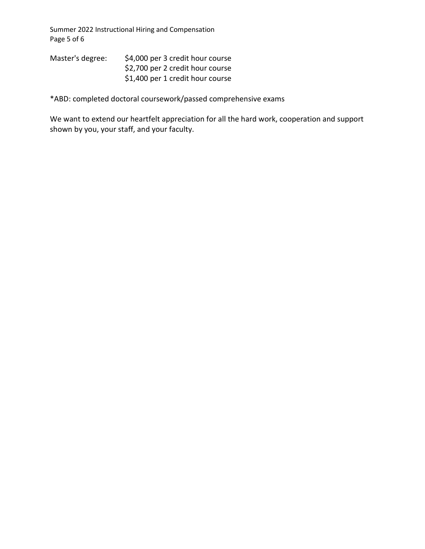Summer 2022 Instructional Hiring and Compensation Page 5 of 6

| Master's degree: | \$4,000 per 3 credit hour course |
|------------------|----------------------------------|
|                  | \$2,700 per 2 credit hour course |
|                  | \$1,400 per 1 credit hour course |

\*ABD: completed doctoral coursework/passed comprehensive exams

We want to extend our heartfelt appreciation for all the hard work, cooperation and support shown by you, your staff, and your faculty.